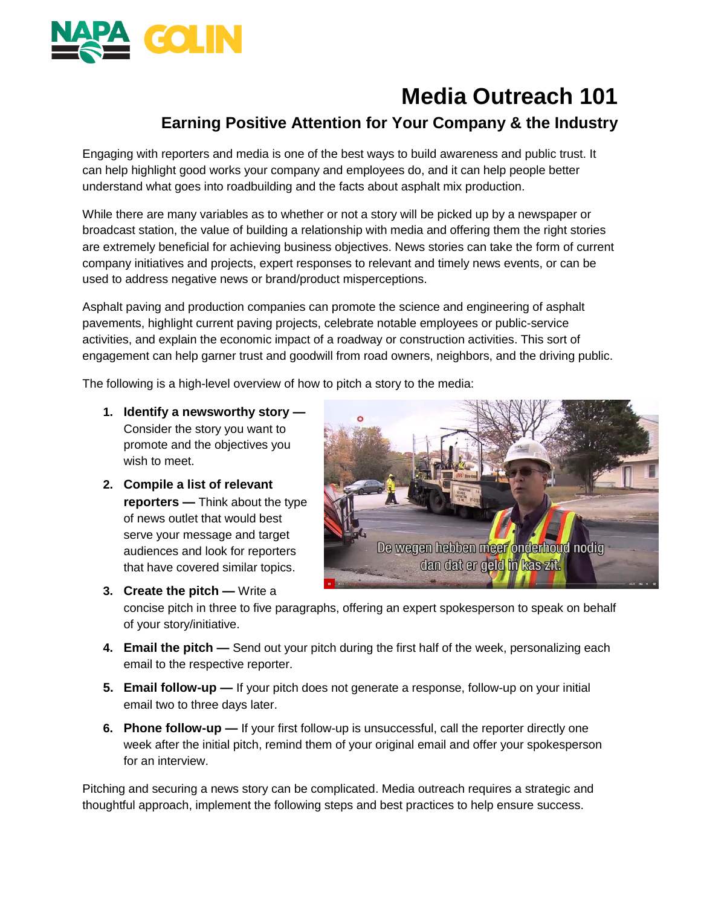

# **Media Outreach 101**

# **Earning Positive Attention for Your Company & the Industry**

Engaging with reporters and media is one of the best ways to build awareness and public trust. It can help highlight good works your company and employees do, and it can help people better understand what goes into roadbuilding and the facts about asphalt mix production.

While there are many variables as to whether or not a story will be picked up by a newspaper or broadcast station, the value of building a relationship with media and offering them the right stories are extremely beneficial for achieving business objectives. News stories can take the form of current company initiatives and projects, expert responses to relevant and timely news events, or can be used to address negative news or brand/product misperceptions.

Asphalt paving and production companies can promote the science and engineering of asphalt pavements, highlight current paving projects, celebrate notable employees or public-service activities, and explain the economic impact of a roadway or construction activities. This sort of engagement can help garner trust and goodwill from road owners, neighbors, and the driving public.

The following is a high-level overview of how to pitch a story to the media:

- **1. Identify a newsworthy story —** Consider the story you want to promote and the objectives you wish to meet.
- **2. Compile a list of relevant reporters —** Think about the type of news outlet that would best serve your message and target audiences and look for reporters that have covered similar topics.



**3. Create the pitch —** Write a concise pitch in three to five paragraphs, offering an expert spokesperson to speak on behalf of your story/initiative.

- **4. Email the pitch —** Send out your pitch during the first half of the week, personalizing each email to the respective reporter.
- **5. Email follow-up —** If your pitch does not generate a response, follow-up on your initial email two to three days later.
- **6. Phone follow-up —** If your first follow-up is unsuccessful, call the reporter directly one week after the initial pitch, remind them of your original email and offer your spokesperson for an interview.

Pitching and securing a news story can be complicated. Media outreach requires a strategic and thoughtful approach, implement the following steps and best practices to help ensure success.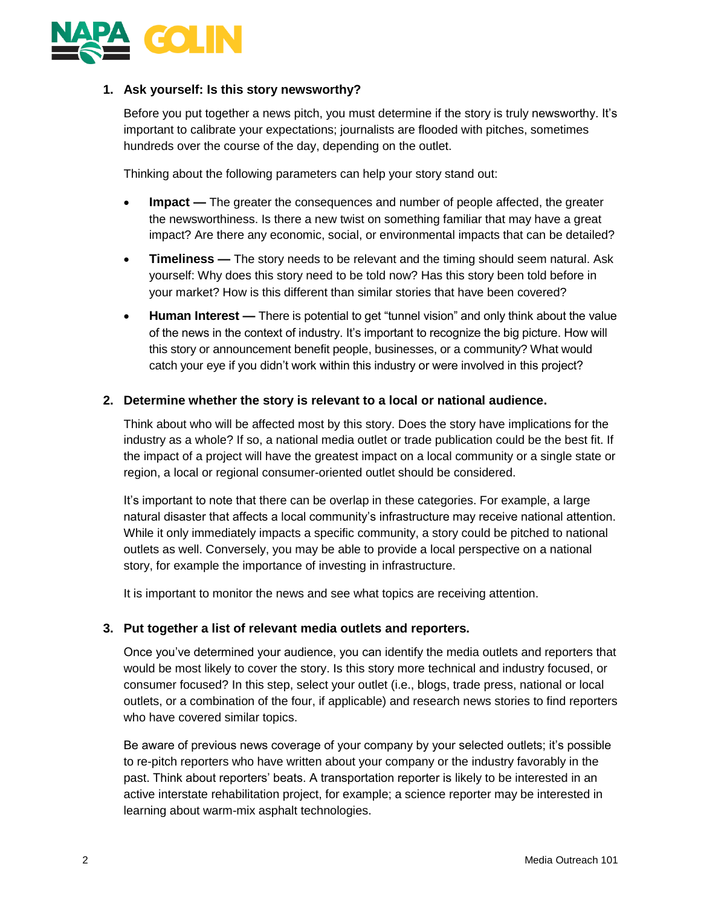

# **1. Ask yourself: Is this story newsworthy?**

Before you put together a news pitch, you must determine if the story is truly newsworthy. It's important to calibrate your expectations; journalists are flooded with pitches, sometimes hundreds over the course of the day, depending on the outlet.

Thinking about the following parameters can help your story stand out:

- **Impact —** The greater the consequences and number of people affected, the greater the newsworthiness. Is there a new twist on something familiar that may have a great impact? Are there any economic, social, or environmental impacts that can be detailed?
- **Timeliness —** The story needs to be relevant and the timing should seem natural. Ask yourself: Why does this story need to be told now? Has this story been told before in your market? How is this different than similar stories that have been covered?
- **Human Interest —** There is potential to get "tunnel vision" and only think about the value of the news in the context of industry. It's important to recognize the big picture. How will this story or announcement benefit people, businesses, or a community? What would catch your eye if you didn't work within this industry or were involved in this project?

# **2. Determine whether the story is relevant to a local or national audience.**

Think about who will be affected most by this story. Does the story have implications for the industry as a whole? If so, a national media outlet or trade publication could be the best fit. If the impact of a project will have the greatest impact on a local community or a single state or region, a local or regional consumer-oriented outlet should be considered.

It's important to note that there can be overlap in these categories. For example, a large natural disaster that affects a local community's infrastructure may receive national attention. While it only immediately impacts a specific community, a story could be pitched to national outlets as well. Conversely, you may be able to provide a local perspective on a national story, for example the importance of investing in infrastructure.

It is important to monitor the news and see what topics are receiving attention.

# **3. Put together a list of relevant media outlets and reporters.**

Once you've determined your audience, you can identify the media outlets and reporters that would be most likely to cover the story. Is this story more technical and industry focused, or consumer focused? In this step, select your outlet (i.e., blogs, trade press, national or local outlets, or a combination of the four, if applicable) and research news stories to find reporters who have covered similar topics.

Be aware of previous news coverage of your company by your selected outlets; it's possible to re-pitch reporters who have written about your company or the industry favorably in the past. Think about reporters' beats. A transportation reporter is likely to be interested in an active interstate rehabilitation project, for example; a science reporter may be interested in learning about warm-mix asphalt technologies.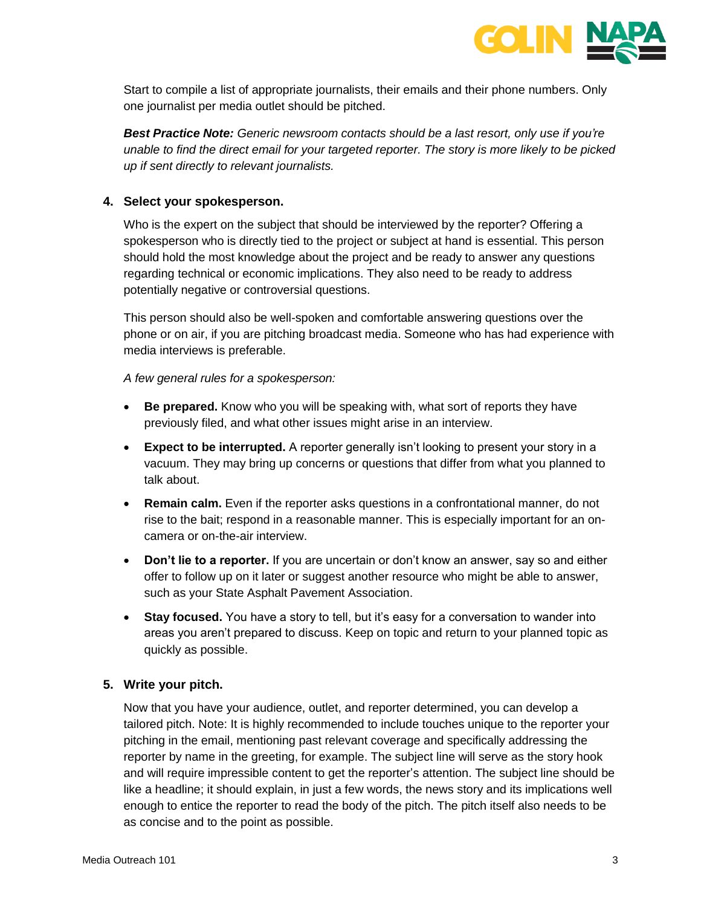

Start to compile a list of appropriate journalists, their emails and their phone numbers. Only one journalist per media outlet should be pitched.

*Best Practice Note: Generic newsroom contacts should be a last resort, only use if you're unable to find the direct email for your targeted reporter. The story is more likely to be picked up if sent directly to relevant journalists.*

# **4. Select your spokesperson.**

Who is the expert on the subject that should be interviewed by the reporter? Offering a spokesperson who is directly tied to the project or subject at hand is essential. This person should hold the most knowledge about the project and be ready to answer any questions regarding technical or economic implications. They also need to be ready to address potentially negative or controversial questions.

This person should also be well-spoken and comfortable answering questions over the phone or on air, if you are pitching broadcast media. Someone who has had experience with media interviews is preferable.

# *A few general rules for a spokesperson:*

- **Be prepared.** Know who you will be speaking with, what sort of reports they have previously filed, and what other issues might arise in an interview.
- **Expect to be interrupted.** A reporter generally isn't looking to present your story in a vacuum. They may bring up concerns or questions that differ from what you planned to talk about.
- **Remain calm.** Even if the reporter asks questions in a confrontational manner, do not rise to the bait; respond in a reasonable manner. This is especially important for an oncamera or on-the-air interview.
- **Don't lie to a reporter.** If you are uncertain or don't know an answer, say so and either offer to follow up on it later or suggest another resource who might be able to answer, such as your State Asphalt Pavement Association.
- **Stay focused.** You have a story to tell, but it's easy for a conversation to wander into areas you aren't prepared to discuss. Keep on topic and return to your planned topic as quickly as possible.

# **5. Write your pitch.**

Now that you have your audience, outlet, and reporter determined, you can develop a tailored pitch. Note: It is highly recommended to include touches unique to the reporter your pitching in the email, mentioning past relevant coverage and specifically addressing the reporter by name in the greeting, for example. The subject line will serve as the story hook and will require impressible content to get the reporter's attention. The subject line should be like a headline; it should explain, in just a few words, the news story and its implications well enough to entice the reporter to read the body of the pitch. The pitch itself also needs to be as concise and to the point as possible.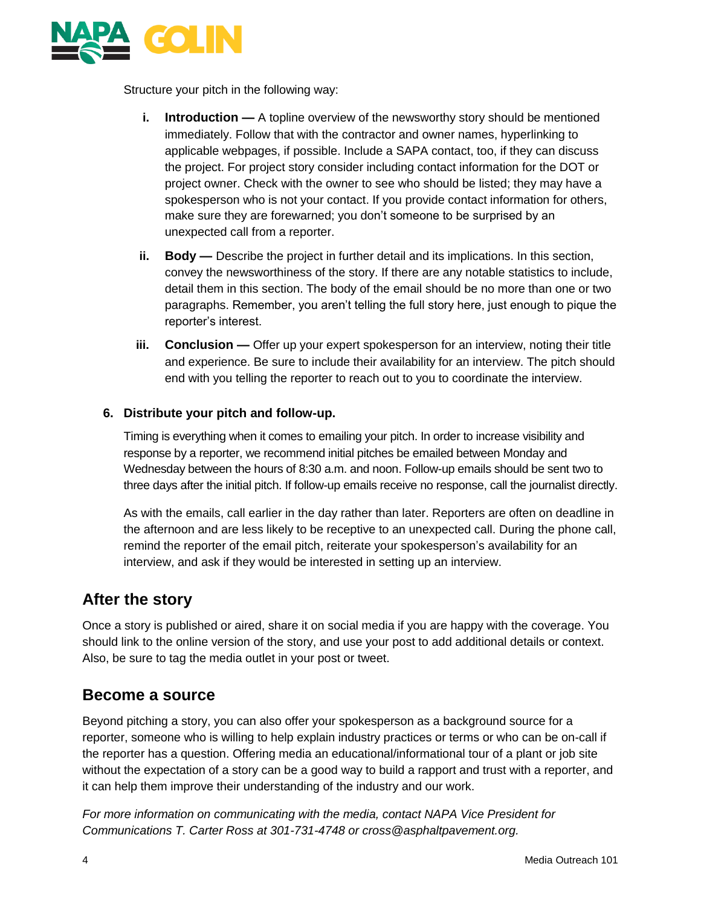

Structure your pitch in the following way:

- **i. Introduction —** A topline overview of the newsworthy story should be mentioned immediately. Follow that with the contractor and owner names, hyperlinking to applicable webpages, if possible. Include a SAPA contact, too, if they can discuss the project. For project story consider including contact information for the DOT or project owner. Check with the owner to see who should be listed; they may have a spokesperson who is not your contact. If you provide contact information for others, make sure they are forewarned; you don't someone to be surprised by an unexpected call from a reporter.
- **ii. Body —** Describe the project in further detail and its implications. In this section, convey the newsworthiness of the story. If there are any notable statistics to include, detail them in this section. The body of the email should be no more than one or two paragraphs. Remember, you aren't telling the full story here, just enough to pique the reporter's interest.
- **iii. Conclusion —** Offer up your expert spokesperson for an interview, noting their title and experience. Be sure to include their availability for an interview. The pitch should end with you telling the reporter to reach out to you to coordinate the interview.

# **6. Distribute your pitch and follow-up.**

Timing is everything when it comes to emailing your pitch. In order to increase visibility and response by a reporter, we recommend initial pitches be emailed between Monday and Wednesday between the hours of 8:30 a.m. and noon. Follow-up emails should be sent two to three days after the initial pitch. If follow-up emails receive no response, call the journalist directly.

As with the emails, call earlier in the day rather than later. Reporters are often on deadline in the afternoon and are less likely to be receptive to an unexpected call. During the phone call, remind the reporter of the email pitch, reiterate your spokesperson's availability for an interview, and ask if they would be interested in setting up an interview.

# **After the story**

Once a story is published or aired, share it on social media if you are happy with the coverage. You should link to the online version of the story, and use your post to add additional details or context. Also, be sure to tag the media outlet in your post or tweet.

# **Become a source**

Beyond pitching a story, you can also offer your spokesperson as a background source for a reporter, someone who is willing to help explain industry practices or terms or who can be on-call if the reporter has a question. Offering media an educational/informational tour of a plant or job site without the expectation of a story can be a good way to build a rapport and trust with a reporter, and it can help them improve their understanding of the industry and our work.

*For more information on communicating with the media, contact NAPA Vice President for Communications T. Carter Ross at 301-731-4748 or cross@asphaltpavement.org.*